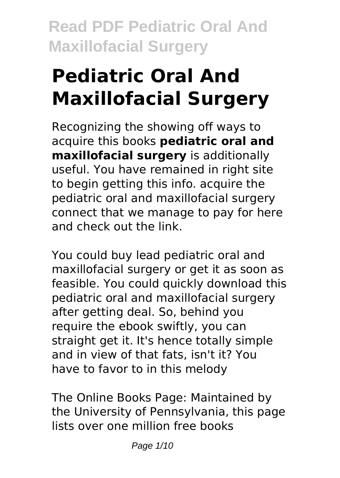# **Pediatric Oral And Maxillofacial Surgery**

Recognizing the showing off ways to acquire this books **pediatric oral and maxillofacial surgery** is additionally useful. You have remained in right site to begin getting this info. acquire the pediatric oral and maxillofacial surgery connect that we manage to pay for here and check out the link.

You could buy lead pediatric oral and maxillofacial surgery or get it as soon as feasible. You could quickly download this pediatric oral and maxillofacial surgery after getting deal. So, behind you require the ebook swiftly, you can straight get it. It's hence totally simple and in view of that fats, isn't it? You have to favor to in this melody

The Online Books Page: Maintained by the University of Pennsylvania, this page lists over one million free books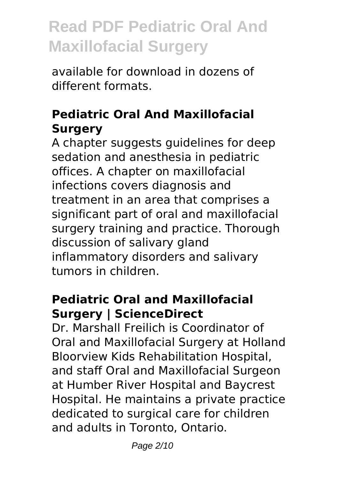available for download in dozens of different formats.

### **Pediatric Oral And Maxillofacial Surgery**

A chapter suggests guidelines for deep sedation and anesthesia in pediatric offices. A chapter on maxillofacial infections covers diagnosis and treatment in an area that comprises a significant part of oral and maxillofacial surgery training and practice. Thorough discussion of salivary gland inflammatory disorders and salivary tumors in children.

#### **Pediatric Oral and Maxillofacial Surgery | ScienceDirect**

Dr. Marshall Freilich is Coordinator of Oral and Maxillofacial Surgery at Holland Bloorview Kids Rehabilitation Hospital, and staff Oral and Maxillofacial Surgeon at Humber River Hospital and Baycrest Hospital. He maintains a private practice dedicated to surgical care for children and adults in Toronto, Ontario.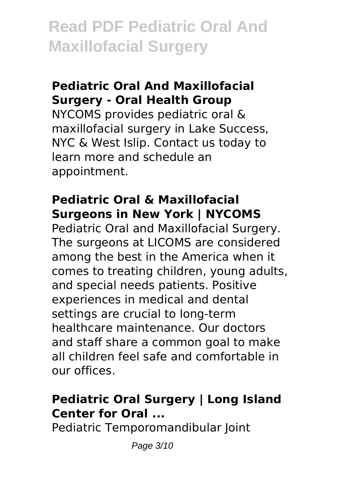#### **Pediatric Oral And Maxillofacial Surgery - Oral Health Group**

NYCOMS provides pediatric oral & maxillofacial surgery in Lake Success, NYC & West Islip. Contact us today to learn more and schedule an appointment.

#### **Pediatric Oral & Maxillofacial Surgeons in New York | NYCOMS**

Pediatric Oral and Maxillofacial Surgery. The surgeons at LICOMS are considered among the best in the America when it comes to treating children, young adults, and special needs patients. Positive experiences in medical and dental settings are crucial to long-term healthcare maintenance. Our doctors and staff share a common goal to make all children feel safe and comfortable in our offices.

### **Pediatric Oral Surgery | Long Island Center for Oral ...**

Pediatric Temporomandibular Joint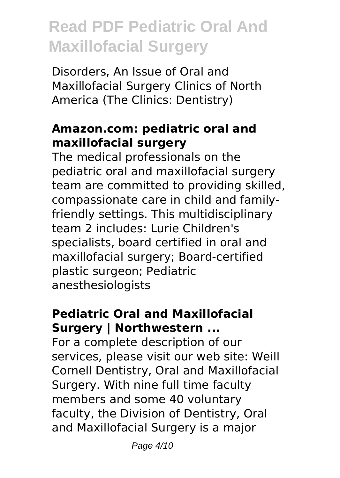Disorders, An Issue of Oral and Maxillofacial Surgery Clinics of North America (The Clinics: Dentistry)

#### **Amazon.com: pediatric oral and maxillofacial surgery**

The medical professionals on the pediatric oral and maxillofacial surgery team are committed to providing skilled, compassionate care in child and familyfriendly settings. This multidisciplinary team 2 includes: Lurie Children's specialists, board certified in oral and maxillofacial surgery; Board-certified plastic surgeon; Pediatric anesthesiologists

### **Pediatric Oral and Maxillofacial Surgery | Northwestern ...**

For a complete description of our services, please visit our web site: Weill Cornell Dentistry, Oral and Maxillofacial Surgery. With nine full time faculty members and some 40 voluntary faculty, the Division of Dentistry, Oral and Maxillofacial Surgery is a major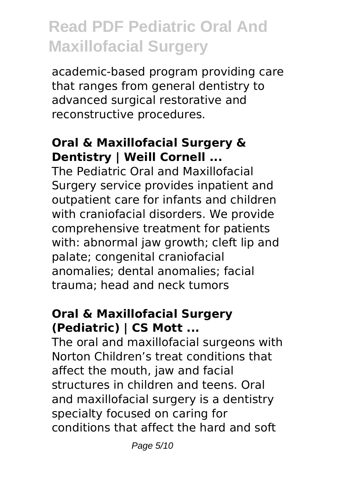academic-based program providing care that ranges from general dentistry to advanced surgical restorative and reconstructive procedures.

### **Oral & Maxillofacial Surgery & Dentistry | Weill Cornell ...**

The Pediatric Oral and Maxillofacial Surgery service provides inpatient and outpatient care for infants and children with craniofacial disorders. We provide comprehensive treatment for patients with: abnormal jaw growth; cleft lip and palate; congenital craniofacial anomalies; dental anomalies; facial trauma; head and neck tumors

### **Oral & Maxillofacial Surgery (Pediatric) | CS Mott ...**

The oral and maxillofacial surgeons with Norton Children's treat conditions that affect the mouth, jaw and facial structures in children and teens. Oral and maxillofacial surgery is a dentistry specialty focused on caring for conditions that affect the hard and soft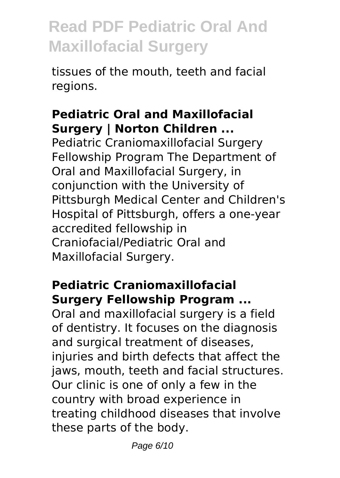tissues of the mouth, teeth and facial regions.

#### **Pediatric Oral and Maxillofacial Surgery | Norton Children ...**

Pediatric Craniomaxillofacial Surgery Fellowship Program The Department of Oral and Maxillofacial Surgery, in conjunction with the University of Pittsburgh Medical Center and Children's Hospital of Pittsburgh, offers a one-year accredited fellowship in Craniofacial/Pediatric Oral and Maxillofacial Surgery.

### **Pediatric Craniomaxillofacial Surgery Fellowship Program ...**

Oral and maxillofacial surgery is a field of dentistry. It focuses on the diagnosis and surgical treatment of diseases, injuries and birth defects that affect the jaws, mouth, teeth and facial structures. Our clinic is one of only a few in the country with broad experience in treating childhood diseases that involve these parts of the body.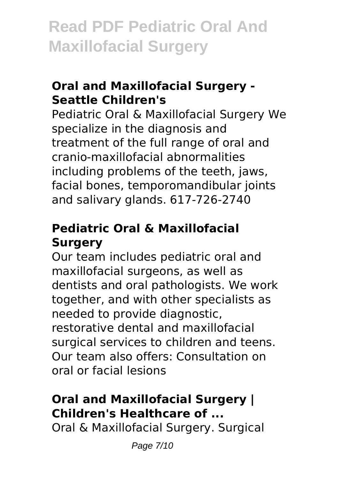### **Oral and Maxillofacial Surgery - Seattle Children's**

Pediatric Oral & Maxillofacial Surgery We specialize in the diagnosis and treatment of the full range of oral and cranio-maxillofacial abnormalities including problems of the teeth, jaws, facial bones, temporomandibular joints and salivary glands. 617-726-2740

### **Pediatric Oral & Maxillofacial Surgery**

Our team includes pediatric oral and maxillofacial surgeons, as well as dentists and oral pathologists. We work together, and with other specialists as needed to provide diagnostic, restorative dental and maxillofacial surgical services to children and teens. Our team also offers: Consultation on oral or facial lesions

### **Oral and Maxillofacial Surgery | Children's Healthcare of ...**

Oral & Maxillofacial Surgery. Surgical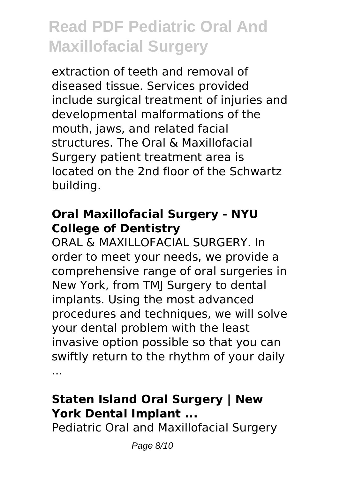extraction of teeth and removal of diseased tissue. Services provided include surgical treatment of injuries and developmental malformations of the mouth, jaws, and related facial structures. The Oral & Maxillofacial Surgery patient treatment area is located on the 2nd floor of the Schwartz building.

#### **Oral Maxillofacial Surgery - NYU College of Dentistry**

ORAL & MAXILLOFACIAL SURGERY. In order to meet your needs, we provide a comprehensive range of oral surgeries in New York, from TMJ Surgery to dental implants. Using the most advanced procedures and techniques, we will solve your dental problem with the least invasive option possible so that you can swiftly return to the rhythm of your daily ...

### **Staten Island Oral Surgery | New York Dental Implant ...**

Pediatric Oral and Maxillofacial Surgery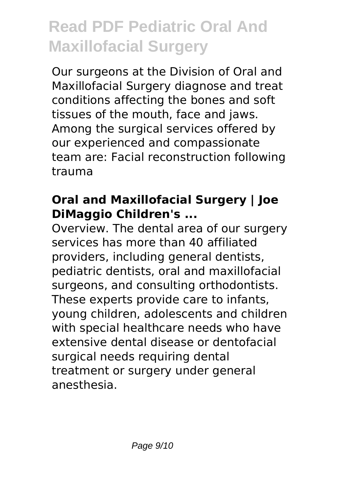Our surgeons at the Division of Oral and Maxillofacial Surgery diagnose and treat conditions affecting the bones and soft tissues of the mouth, face and jaws. Among the surgical services offered by our experienced and compassionate team are: Facial reconstruction following trauma

### **Oral and Maxillofacial Surgery | Joe DiMaggio Children's ...**

Overview. The dental area of our surgery services has more than 40 affiliated providers, including general dentists, pediatric dentists, oral and maxillofacial surgeons, and consulting orthodontists. These experts provide care to infants, young children, adolescents and children with special healthcare needs who have extensive dental disease or dentofacial surgical needs requiring dental treatment or surgery under general anesthesia.